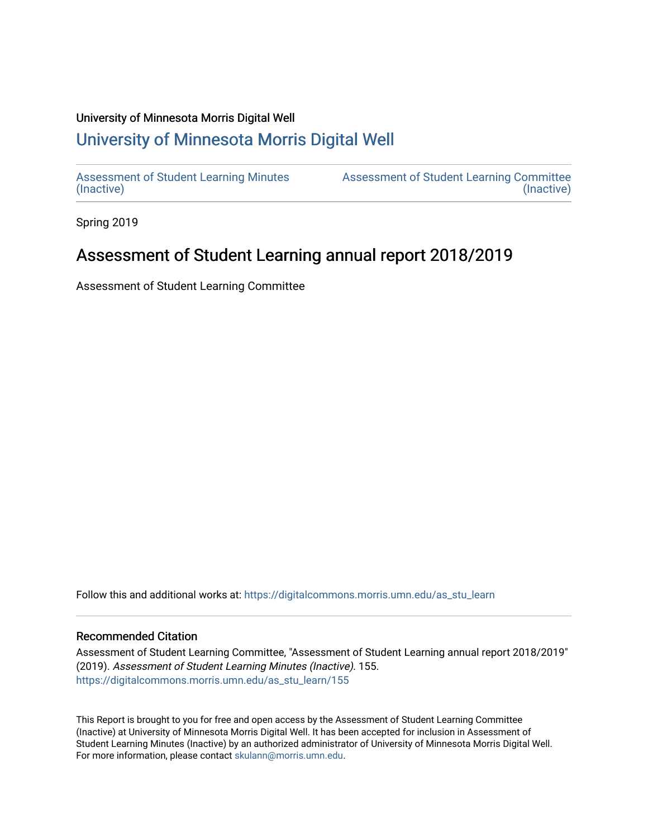#### University of Minnesota Morris Digital Well

# [University of Minnesota Morris Digital Well](https://digitalcommons.morris.umn.edu/)

[Assessment of Student Learning Minutes](https://digitalcommons.morris.umn.edu/as_stu_learn)  [\(Inactive\)](https://digitalcommons.morris.umn.edu/as_stu_learn) 

[Assessment of Student Learning Committee](https://digitalcommons.morris.umn.edu/aslc)  [\(Inactive\)](https://digitalcommons.morris.umn.edu/aslc) 

Spring 2019

# Assessment of Student Learning annual report 2018/2019

Assessment of Student Learning Committee

Follow this and additional works at: [https://digitalcommons.morris.umn.edu/as\\_stu\\_learn](https://digitalcommons.morris.umn.edu/as_stu_learn?utm_source=digitalcommons.morris.umn.edu%2Fas_stu_learn%2F155&utm_medium=PDF&utm_campaign=PDFCoverPages) 

#### Recommended Citation

Assessment of Student Learning Committee, "Assessment of Student Learning annual report 2018/2019" (2019). Assessment of Student Learning Minutes (Inactive). 155. [https://digitalcommons.morris.umn.edu/as\\_stu\\_learn/155](https://digitalcommons.morris.umn.edu/as_stu_learn/155?utm_source=digitalcommons.morris.umn.edu%2Fas_stu_learn%2F155&utm_medium=PDF&utm_campaign=PDFCoverPages) 

This Report is brought to you for free and open access by the Assessment of Student Learning Committee (Inactive) at University of Minnesota Morris Digital Well. It has been accepted for inclusion in Assessment of Student Learning Minutes (Inactive) by an authorized administrator of University of Minnesota Morris Digital Well. For more information, please contact [skulann@morris.umn.edu](mailto:skulann@morris.umn.edu).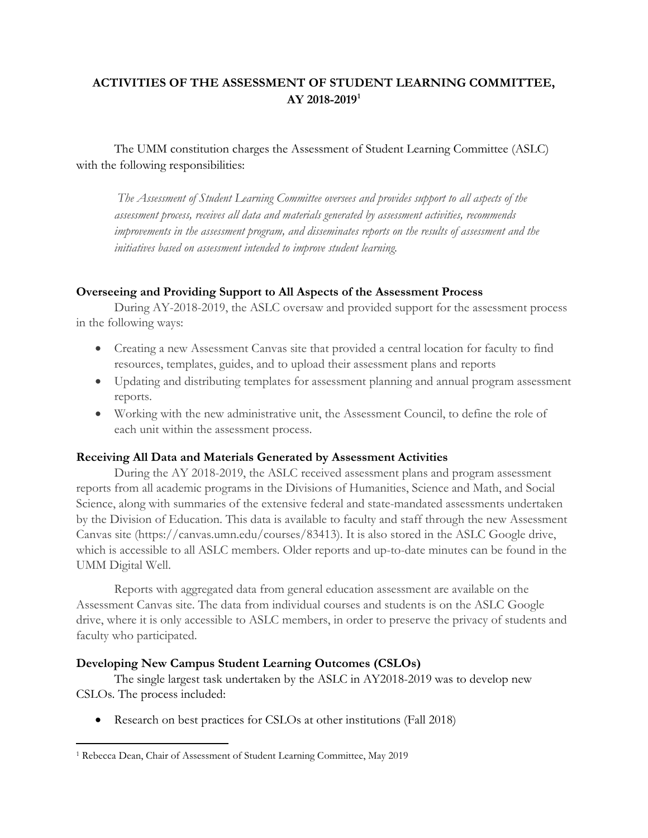# **ACTIVITIES OF THE ASSESSMENT OF STUDENT LEARNING COMMITTEE, AY 2018-2019[1](#page-1-0)**

The UMM constitution charges the Assessment of Student Learning Committee (ASLC) with the following responsibilities:

*The Assessment of Student Learning Committee oversees and provides support to all aspects of the assessment process, receives all data and materials generated by assessment activities, recommends improvements in the assessment program, and disseminates reports on the results of assessment and the initiatives based on assessment intended to improve student learning.*

### **Overseeing and Providing Support to All Aspects of the Assessment Process**

During AY-2018-2019, the ASLC oversaw and provided support for the assessment process in the following ways:

- Creating a new Assessment Canvas site that provided a central location for faculty to find resources, templates, guides, and to upload their assessment plans and reports
- Updating and distributing templates for assessment planning and annual program assessment reports.
- Working with the new administrative unit, the Assessment Council, to define the role of each unit within the assessment process.

# **Receiving All Data and Materials Generated by Assessment Activities**

During the AY 2018-2019, the ASLC received assessment plans and program assessment reports from all academic programs in the Divisions of Humanities, Science and Math, and Social Science, along with summaries of the extensive federal and state-mandated assessments undertaken by the Division of Education. This data is available to faculty and staff through the new Assessment Canvas site (https://canvas.umn.edu/courses/83413). It is also stored in the ASLC Google drive, which is accessible to all ASLC members. Older reports and up-to-date minutes can be found in the UMM Digital Well.

Reports with aggregated data from general education assessment are available on the Assessment Canvas site. The data from individual courses and students is on the ASLC Google drive, where it is only accessible to ASLC members, in order to preserve the privacy of students and faculty who participated.

### **Developing New Campus Student Learning Outcomes (CSLOs)**

The single largest task undertaken by the ASLC in AY2018-2019 was to develop new CSLOs. The process included:

• Research on best practices for CSLOs at other institutions (Fall 2018)

<span id="page-1-0"></span> <sup>1</sup> Rebecca Dean, Chair of Assessment of Student Learning Committee, May 2019